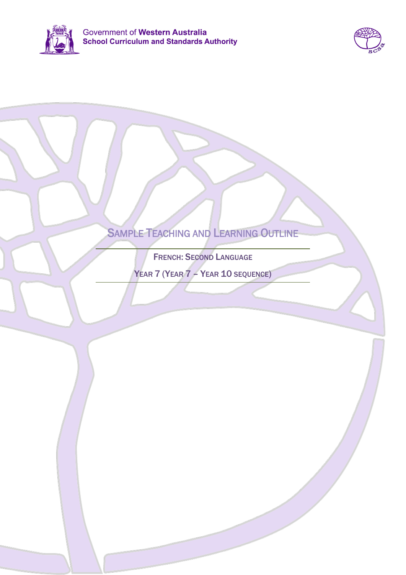



# SAMPLE TEACHING AND LEARNING OUTLINE

FRENCH: SECOND LANGUAGE

YEAR 7 (YEAR 7 – YEAR 10 SEQUENCE)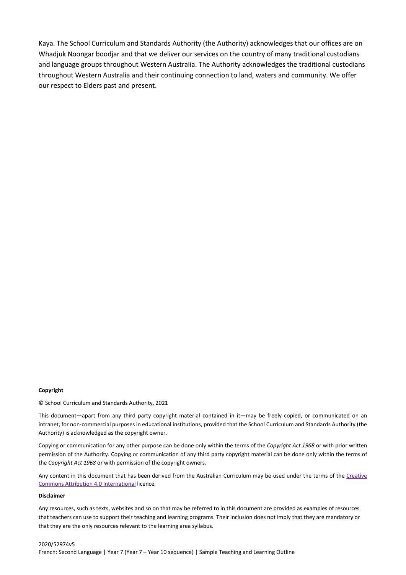Kaya. The School Curriculum and Standards Authority (the Authority) acknowledges that our offices are on Whadjuk Noongar boodjar and that we deliver our services on the country of many traditional custodians and language groups throughout Western Australia. The Authority acknowledges the traditional custodians throughout Western Australia and their continuing connection to land, waters and community. We offer our respect to Elders past and present.

### **Copyright**

© School Curriculum and Standards Authority, 2021

This document—apart from any third party copyright material contained in it—may be freely copied, or communicated on an intranet, for non-commercial purposes in educational institutions, provided that the School Curriculum and Standards Authority (the Authority) is acknowledged as the copyright owner.

Copying or communication for any other purpose can be done only within the terms of the *Copyright Act 1968* or with prior written permission of the Authority. Copying or communication of any third party copyright material can be done only within the terms of the *Copyright Act 1968* or with permission of the copyright owners.

Any content in this document that has been derived from the Australian Curriculum may be used under the terms of the [Creative](https://creativecommons.org/licenses/by/4.0/)  [Commons Attribution 4.0 International](https://creativecommons.org/licenses/by/4.0/) licence.

### **Disclaimer**

Any resources, such as texts, websites and so on that may be referred to in this document are provided as examples of resources that teachers can use to support their teaching and learning programs. Their inclusion does not imply that they are mandatory or that they are the only resources relevant to the learning area syllabus.

2020/52974v5 French: Second Language | Year 7 (Year 7 – Year 10 sequence) | Sample Teaching and Learning Outline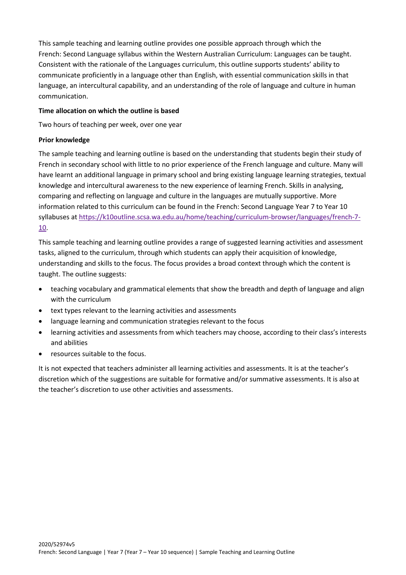This sample teaching and learning outline provides one possible approach through which the French: Second Language syllabus within the Western Australian Curriculum: Languages can be taught. Consistent with the rationale of the Languages curriculum, this outline supports students' ability to communicate proficiently in a language other than English, with essential communication skills in that language, an intercultural capability, and an understanding of the role of language and culture in human communication.

## **Time allocation on which the outline is based**

Two hours of teaching per week, over one year

### **Prior knowledge**

The sample teaching and learning outline is based on the understanding that students begin their study of French in secondary school with little to no prior experience of the French language and culture. Many will have learnt an additional language in primary school and bring existing language learning strategies, textual knowledge and intercultural awareness to the new experience of learning French. Skills in analysing, comparing and reflecting on language and culture in the languages are mutually supportive. More information related to this curriculum can be found in the French: Second Language Year 7 to Year 10 syllabuses at [https://k10outline.scsa.wa.edu.au/home/teaching/curriculum-browser/languages/french-7-](https://k10outline.scsa.wa.edu.au/home/teaching/curriculum-browser/languages/french-7-10) [10.](https://k10outline.scsa.wa.edu.au/home/teaching/curriculum-browser/languages/french-7-10)

This sample teaching and learning outline provides a range of suggested learning activities and assessment tasks, aligned to the curriculum, through which students can apply their acquisition of knowledge, understanding and skills to the focus. The focus provides a broad context through which the content is taught. The outline suggests:

- teaching vocabulary and grammatical elements that show the breadth and depth of language and align with the curriculum
- text types relevant to the learning activities and assessments
- language learning and communication strategies relevant to the focus
- learning activities and assessments from which teachers may choose, according to their class's interests and abilities
- resources suitable to the focus.

It is not expected that teachers administer all learning activities and assessments. It is at the teacher's discretion which of the suggestions are suitable for formative and/or summative assessments. It is also at the teacher's discretion to use other activities and assessments.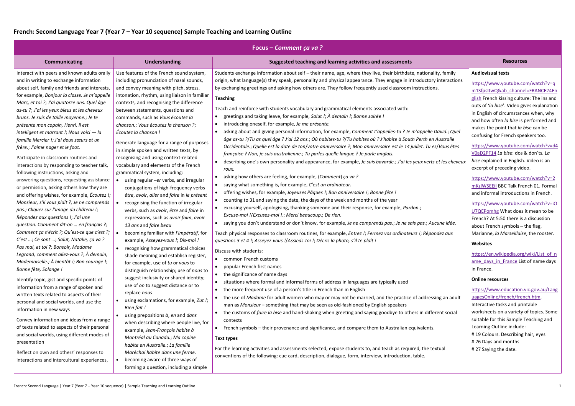# **French: Second Language Year 7 (Year 7 – Year 10 sequence) Sample Teaching and Learning Outline**

| Focus – Comment ça va?                                                                                                                                                                                                                                                                                                                                                                                                                                                                                                                                                                                                                                                                                                                                                                                                                                                                                                                                                                                                                                                                                                                                                                                                                                                                                                                                                                                                                                                                                                                                                                                                                                                                    |                                                                                                                                                                                                                                                                                                                                                                                                                                                                                                                                                                                                                                                                                                                                                                                                                                                                                                                                                                                                                                                                                                                                                                                                                                                                                                                                                                                                                                                                                                                                                                                                      |                                                                                                                                                                                                                                                                                                                                                                                                                                                                                                                                                                                                                                                                                                                                                                                                                                                                                                                                                                                                                                                                                                                                                                                                                                                                                                                                                                                                                                                                                                                                                                                                                                                                                                                                                                                                                                                                                                                                                                                                                                                                                                                                                                                                                                                                                                                                                                                                                                                                                                                                                                                                                                                                                                                                                                                                                                                                                                                                           |                                                                                                                                                                                                                                                                                                                                                                                                                                                                                                                                                                                                                                                                                                                                                                                                                                                                                                                                                                                                    |
|-------------------------------------------------------------------------------------------------------------------------------------------------------------------------------------------------------------------------------------------------------------------------------------------------------------------------------------------------------------------------------------------------------------------------------------------------------------------------------------------------------------------------------------------------------------------------------------------------------------------------------------------------------------------------------------------------------------------------------------------------------------------------------------------------------------------------------------------------------------------------------------------------------------------------------------------------------------------------------------------------------------------------------------------------------------------------------------------------------------------------------------------------------------------------------------------------------------------------------------------------------------------------------------------------------------------------------------------------------------------------------------------------------------------------------------------------------------------------------------------------------------------------------------------------------------------------------------------------------------------------------------------------------------------------------------------|------------------------------------------------------------------------------------------------------------------------------------------------------------------------------------------------------------------------------------------------------------------------------------------------------------------------------------------------------------------------------------------------------------------------------------------------------------------------------------------------------------------------------------------------------------------------------------------------------------------------------------------------------------------------------------------------------------------------------------------------------------------------------------------------------------------------------------------------------------------------------------------------------------------------------------------------------------------------------------------------------------------------------------------------------------------------------------------------------------------------------------------------------------------------------------------------------------------------------------------------------------------------------------------------------------------------------------------------------------------------------------------------------------------------------------------------------------------------------------------------------------------------------------------------------------------------------------------------------|-------------------------------------------------------------------------------------------------------------------------------------------------------------------------------------------------------------------------------------------------------------------------------------------------------------------------------------------------------------------------------------------------------------------------------------------------------------------------------------------------------------------------------------------------------------------------------------------------------------------------------------------------------------------------------------------------------------------------------------------------------------------------------------------------------------------------------------------------------------------------------------------------------------------------------------------------------------------------------------------------------------------------------------------------------------------------------------------------------------------------------------------------------------------------------------------------------------------------------------------------------------------------------------------------------------------------------------------------------------------------------------------------------------------------------------------------------------------------------------------------------------------------------------------------------------------------------------------------------------------------------------------------------------------------------------------------------------------------------------------------------------------------------------------------------------------------------------------------------------------------------------------------------------------------------------------------------------------------------------------------------------------------------------------------------------------------------------------------------------------------------------------------------------------------------------------------------------------------------------------------------------------------------------------------------------------------------------------------------------------------------------------------------------------------------------------------------------------------------------------------------------------------------------------------------------------------------------------------------------------------------------------------------------------------------------------------------------------------------------------------------------------------------------------------------------------------------------------------------------------------------------------------------------------------------------------|----------------------------------------------------------------------------------------------------------------------------------------------------------------------------------------------------------------------------------------------------------------------------------------------------------------------------------------------------------------------------------------------------------------------------------------------------------------------------------------------------------------------------------------------------------------------------------------------------------------------------------------------------------------------------------------------------------------------------------------------------------------------------------------------------------------------------------------------------------------------------------------------------------------------------------------------------------------------------------------------------|
| <b>Communicating</b>                                                                                                                                                                                                                                                                                                                                                                                                                                                                                                                                                                                                                                                                                                                                                                                                                                                                                                                                                                                                                                                                                                                                                                                                                                                                                                                                                                                                                                                                                                                                                                                                                                                                      | <b>Understanding</b>                                                                                                                                                                                                                                                                                                                                                                                                                                                                                                                                                                                                                                                                                                                                                                                                                                                                                                                                                                                                                                                                                                                                                                                                                                                                                                                                                                                                                                                                                                                                                                                 | Suggested teaching and learning activities and assessments                                                                                                                                                                                                                                                                                                                                                                                                                                                                                                                                                                                                                                                                                                                                                                                                                                                                                                                                                                                                                                                                                                                                                                                                                                                                                                                                                                                                                                                                                                                                                                                                                                                                                                                                                                                                                                                                                                                                                                                                                                                                                                                                                                                                                                                                                                                                                                                                                                                                                                                                                                                                                                                                                                                                                                                                                                                                                | <b>Resources</b>                                                                                                                                                                                                                                                                                                                                                                                                                                                                                                                                                                                                                                                                                                                                                                                                                                                                                                                                                                                   |
| Interact with peers and known adults orally<br>and in writing to exchange information<br>about self, family and friends and interests,<br>for example, Bonjour la classe. Je m'appelle<br>Marc, et toi ?; J'ai quatorze ans. Quel âge<br>as-tu ?; J'ai les yeux bleus et les cheveux<br>bruns. Je suis de taille moyenne.; Je te<br>présente mon copain, Henri. Il est<br>intelligent et marrant !; Nous voici - la<br>famille Mercier !; J'ai deux sœurs et un<br>frère.; J'aime nager et le foot.<br>Participate in classroom routines and<br>interactions by responding to teacher talk,<br>following instructions, asking and<br>answering questions, requesting assistance<br>or permission, asking others how they are<br>and offering wishes, for example, <i>Écoutez !;</i><br>Monsieur, s'il vous plaît ?; Je ne comprends<br>pas.; Cliquez sur l'image du château !;<br>Répondez aux questions !; J'ai une<br>question. Comment dit-on  en français ?;<br>Comment ça s'écrit ?; Qu'est-ce que c'est ?;<br>C'est ; Ce sont ; Salut, Natalie, ça va ?<br>Pas mal, et toi ?; Bonsoir, Madame<br>Legrand, comment allez-vous ?; À demain,<br>Mademoiselle.; À bientôt !; Bon courage !;<br>Bonne fête, Solange !<br>Identify topic, gist and specific points of<br>information from a range of spoken and<br>written texts related to aspects of their<br>personal and social worlds, and use the<br>information in new ways<br>Convey information and ideas from a range<br>of texts related to aspects of their personal<br>and social worlds, using different modes of<br>presentation<br>Reflect on own and others' responses to<br>interactions and intercultural experiences, | Use features of the French sound system,<br>including pronunciation of nasal sounds,<br>and convey meaning with pitch, stress,<br>intonation, rhythm, using liaison in familiar<br>contexts, and recognising the difference<br>between statements, questions and<br>commands, such as Vous écoutez la<br>chanson.; Vous écoutez la chanson ?;<br>Écoutez la chanson!<br>Generate language for a range of purposes<br>in simple spoken and written texts, by<br>recognising and using context-related<br>vocabulary and elements of the French<br>grammatical system, including:<br>using regular -er verbs, and irregular<br>conjugations of high-frequency verbs<br>être, avoir, aller and faire in le présent<br>recognising the function of irregular<br>verbs, such as avoir, être and faire in<br>expressions, such as avoir faim, avoir<br>13 ans and faire beau<br>becoming familiar with l'impératif, for<br>example, Asseyez-vous !; Dis-moi !<br>recognising how grammatical choices<br>shade meaning and establish register,<br>for example, use of tu or vous to<br>distinguish relationship; use of nous to<br>suggest inclusivity or shared identity;<br>use of on to suggest distance or to<br>replace nous<br>using exclamations, for example, Zut !;<br>Bien fait!<br>using prepositions $\dot{a}$ , en and dans<br>when describing where people live, for<br>example, Jean-François habite à<br>Montréal au Canada.; Ma copine<br>habite en Australie.; La famille<br>Maréchal habite dans une ferme.<br>becoming aware of three ways of<br>forming a question, including a simple | Students exchange information about self - their name, age, where they live, their birthdate, nationality, family<br>origin, what language(s) they speak, personality and physical appearance. They engage in introductory interactions<br>by exchanging greetings and asking how others are. They follow frequently used classroom instructions.<br><b>Teaching</b><br>Teach and reinforce with students vocabulary and grammatical elements associated with:<br>greetings and taking leave, for example, Salut !; A demain !; Bonne soirée !<br>introducing oneself, for example, Je me présente.<br>asking about and giving personal information, for example, Comment t'appelles-tu ? Je m'appelle David.; Quel<br>âge as-tu ?/Tu as quel âge ? J'ai 12 ans.; Où habites-tu ?/Tu habites où ? J'habite à South Perth en Australie<br>Occidentale.; Quelle est la date de ton/votre anniversaire ?; Mon anniversaire est le 14 juillet. Tu es/Vous êtes<br>française ? Non, je suis australienne.; Tu parles quelle langue ? Je parle anglais.<br>describing one's own personality and appearance, for example, Je suis bavarde.; J'ai les yeux verts et les cheveux<br>roux.<br>asking how others are feeling, for example, (Comment) ça va ?<br>saying what something is, for example, C'est un ordinateur.<br>offering wishes, for example, Joyeuses Pâques !; Bon anniversaire !; Bonne fête !<br>counting to 31 and saying the date, the days of the week and months of the year<br>excusing yourself, apologising, thanking someone and their response, for example, Pardon.;<br>Excuse-moi !/Excusez-moi !.; Merci beaucoup.; De rien.<br>saying you don't understand or don't know, for example, Je ne comprends pas.; Je ne sais pas.; Aucune idée.<br>Teach physical responses to classroom routines, for example, Entrez !; Fermez vos ordinateurs !; Répondez aux<br>questions 3 et 4 !; Asseyez-vous !/Assieds-toi !; Décris la photo, s'il te plaît !<br>Discuss with students:<br>• common French customs<br>popular French first names<br>• the significance of name days<br>situations where formal and informal forms of address in languages are typically used<br>the more frequent use of a person's title in French than in English<br>the use of Madame for adult women who may or may not be married, and the practice of addressing an adult<br>man as Monsieur - something that may be seen as old-fashioned by English speakers<br>the customs of faire la bise and hand-shaking when greeting and saying goodbye to others in different social<br>contexts<br>French symbols – their provenance and significance, and compare them to Australian equivalents.<br><b>Text types</b><br>For the learning activities and assessments selected, expose students to, and teach as required, the textual<br>conventions of the following: cue card, description, dialogue, form, interview, introduction, table. | <b>Audiovisual texts</b><br>https://www.youtube.cor<br>m1SfpsItwQ&ab channel<br>glish French kissing cultur<br>outs of 'la bise'. Video giv<br>in English of circumstance<br>and how often la bise is p<br>makes the point that la bi<br>confusing for French spea<br>https://www.youtube.cor<br>V0aD2PF14 La bise: dos 8<br>bise explained in English.<br>excerpt of preceding vide<br>https://www.youtube.cor<br>mKzIWSEEiI BBC Talk Frer<br>and informal introduction<br>https://www.youtube.cor<br>U7QEPomhg What does it<br>French? At 5:50 there is a<br>about French symbols - tl<br>Marianne, la Marseillaise<br><b>Websites</b><br>https://en.wikipedia.org/<br>ame days in France List<br>in France.<br><b>Online resources</b><br>https://www.education.v<br>uagesOnline/french/freno<br>Interactive tasks and prin<br>worksheets on a variety o<br>suitable for this Sample T<br>Learning Outline include:<br>#19 Colours. Describing h<br>#26 Days and months<br>#27 Saying the date. |

|                                       | <b>Resources</b>                                                                                                                                                                                                                                                                                                                 |
|---------------------------------------|----------------------------------------------------------------------------------------------------------------------------------------------------------------------------------------------------------------------------------------------------------------------------------------------------------------------------------|
| lity, family                          | <b>Audiovisual texts</b>                                                                                                                                                                                                                                                                                                         |
| y interactions<br>٦S.<br>David.; Quel | https://www.youtube.com/watch?v=q<br>m1SfpsItwQ&ab channel=FRANCE24En<br>glish French kissing culture: The ins and<br>outs of 'la bise'. Video gives explanation<br>in English of circumstances when, why<br>and how often la bise is performed and<br>makes the point that la bise can be<br>confusing for French speakers too. |
| Australie                             |                                                                                                                                                                                                                                                                                                                                  |
| s/Vous êtes<br>et les cheveux         | https://www.youtube.com/watch?v=d4<br>V0aD2PF14 La bise: dos & don'ts. La<br>bise explained in English. Video is an<br>excerpt of preceding video.                                                                                                                                                                               |
|                                       | https://www.youtube.com/watch?v=2<br>mKzIWSEEiI BBC Talk French 01. Formal<br>and informal introductions in French.                                                                                                                                                                                                              |
| icune idée.<br>ndez aux               | https://www.youtube.com/watch?v=iO<br>U7QEPomhg What does it mean to be<br>French? At 5:50 there is a discussion<br>about French symbols - the flag,<br>Marianne, la Marseillaise, the rooster.                                                                                                                                  |
|                                       | <b>Websites</b>                                                                                                                                                                                                                                                                                                                  |
|                                       | https://en.wikipedia.org/wiki/List_of_n<br>ame days in France List of name days<br>in France.                                                                                                                                                                                                                                    |
|                                       | <b>Online resources</b>                                                                                                                                                                                                                                                                                                          |
| sing an adult<br>erent social         | https://www.education.vic.gov.au/Lang<br>uagesOnline/french/french.htm.<br>Interactive tasks and printable<br>worksheets on a variety of topics. Some                                                                                                                                                                            |
|                                       | suitable for this Sample Teaching and<br>Learning Outline include:<br>#19 Colours. Describing hair, eyes                                                                                                                                                                                                                         |
| extual                                | #26 Days and months<br>#27 Saying the date.                                                                                                                                                                                                                                                                                      |
|                                       |                                                                                                                                                                                                                                                                                                                                  |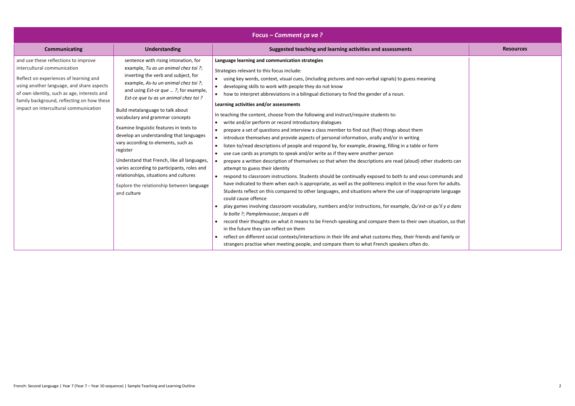|                              | <b>Resources</b> |
|------------------------------|------------------|
|                              |                  |
| ŗ                            |                  |
|                              |                  |
|                              |                  |
|                              |                  |
|                              |                  |
|                              |                  |
| m                            |                  |
| students can                 |                  |
| mmands and                   |                  |
| m for adults.<br>te language |                  |
|                              |                  |
| qu'il y a dans               |                  |
| uation, so that              |                  |
| nd family or                 |                  |
|                              |                  |

|                                                                                                                                                                                                                                                                                                                                                                                                                                                                                                                                                                                                                                                                                                                                                                                                                                                                                                                                                                                                                                                                                                                                                                                                                                                                                                                                                                                                                                                                                                                                                                                                                                                                                                                                                                                                                                                                                                                                                                                                                                                                                                                                                                                                                                                                                                                                                                                                                                                                                                                                                                                                                                                                                                                                                                                                                                                                                                                                                                                                                                                                                   | Focus – Comment ça va? |  |  |                  |
|-----------------------------------------------------------------------------------------------------------------------------------------------------------------------------------------------------------------------------------------------------------------------------------------------------------------------------------------------------------------------------------------------------------------------------------------------------------------------------------------------------------------------------------------------------------------------------------------------------------------------------------------------------------------------------------------------------------------------------------------------------------------------------------------------------------------------------------------------------------------------------------------------------------------------------------------------------------------------------------------------------------------------------------------------------------------------------------------------------------------------------------------------------------------------------------------------------------------------------------------------------------------------------------------------------------------------------------------------------------------------------------------------------------------------------------------------------------------------------------------------------------------------------------------------------------------------------------------------------------------------------------------------------------------------------------------------------------------------------------------------------------------------------------------------------------------------------------------------------------------------------------------------------------------------------------------------------------------------------------------------------------------------------------------------------------------------------------------------------------------------------------------------------------------------------------------------------------------------------------------------------------------------------------------------------------------------------------------------------------------------------------------------------------------------------------------------------------------------------------------------------------------------------------------------------------------------------------------------------------------------------------------------------------------------------------------------------------------------------------------------------------------------------------------------------------------------------------------------------------------------------------------------------------------------------------------------------------------------------------------------------------------------------------------------------------------------------------|------------------------|--|--|------------------|
| Suggested teaching and learning activities and assessments<br>Communicating<br><b>Understanding</b>                                                                                                                                                                                                                                                                                                                                                                                                                                                                                                                                                                                                                                                                                                                                                                                                                                                                                                                                                                                                                                                                                                                                                                                                                                                                                                                                                                                                                                                                                                                                                                                                                                                                                                                                                                                                                                                                                                                                                                                                                                                                                                                                                                                                                                                                                                                                                                                                                                                                                                                                                                                                                                                                                                                                                                                                                                                                                                                                                                               |                        |  |  | <b>Resources</b> |
| and use these reflections to improve<br>sentence with rising intonation, for<br>Language learning and communication strategies<br>intercultural communication<br>example, Tu as un animal chez toi ?;<br>Strategies relevant to this focus include:<br>inverting the verb and subject, for<br>Reflect on experiences of learning and<br>using key words, context, visual cues, (including pictures and non-verbal signals) to guess meaning<br>example, As-tu un animal chez toi ?;<br>using another language, and share aspects<br>developing skills to work with people they do not know<br>and using <i>Est-ce que ?</i> , for example,<br>of own identity, such as age, interests and<br>how to interpret abbreviations in a bilingual dictionary to find the gender of a noun.<br>$\bullet$<br>Est-ce que tu as un animal chez toi ?<br>family background, reflecting on how these<br>Learning activities and/or assessments<br>impact on intercultural communication<br>Build metalanguage to talk about<br>In teaching the content, choose from the following and instruct/require students to:<br>vocabulary and grammar concepts<br>write and/or perform or record introductory dialogues<br>$\bullet$<br>Examine linguistic features in texts to<br>prepare a set of questions and interview a class member to find out (five) things about them<br>develop an understanding that languages<br>introduce themselves and provide aspects of personal information, orally and/or in writing<br>$\bullet$<br>vary according to elements, such as<br>listen to/read descriptions of people and respond by, for example, drawing, filling in a table or form<br>$\bullet$<br>register<br>use cue cards as prompts to speak and/or write as if they were another person<br>$\bullet$<br>Understand that French, like all languages,<br>prepare a written description of themselves so that when the descriptions are read (aloud) other students can<br>varies according to participants, roles and<br>attempt to guess their identity<br>relationships, situations and cultures<br>respond to classroom instructions. Students should be continually exposed to both tu and vous commands and<br>have indicated to them when each is appropriate, as well as the politeness implicit in the vous form for adults.<br>Explore the relationship between language<br>Students reflect on this compared to other languages, and situations where the use of inappropriate language<br>and culture<br>could cause offence<br>play games involving classroom vocabulary, numbers and/or instructions, for example, Qu'est-ce qu'il y a dans<br>la boîte ?; Pamplemousse; Jacques a dit<br>record their thoughts on what it means to be French-speaking and compare them to their own situation, so that<br>in the future they can reflect on them<br>reflect on different social contexts/interactions in their life and what customs they, their friends and family or<br>$\bullet$<br>strangers practise when meeting people, and compare them to what French speakers often do. |                        |  |  |                  |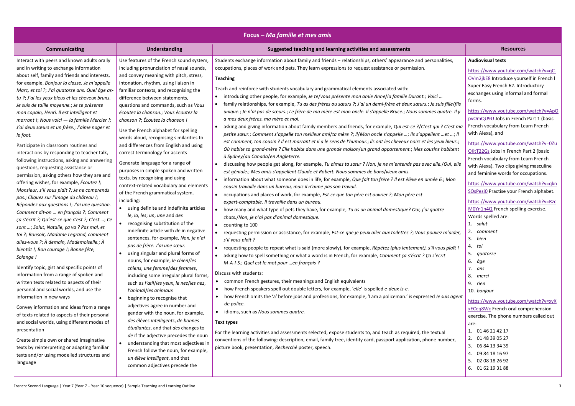| Focus – Ma famille et mes amis                                                                                                                                                                                                                                                                                                                                                                                                                                                                                                                                                                                                                                                                                                                                                                                                                                                                                                                                                                                                                                                                                                                                                                                                                                                                                                                                                                                                                                                                                                                                                                                                                                                                                                                        |                                                                                                                                                                                                                                                                                                                                                                                                                                                                                                                                                                                                                                                                                                                                                                                                                                                                                                                                                                                                                                                                                                                                                                                                                                                                                                                                                                                                                                                                                                                                                                                                             |                                                                                                                                                                                                                                                                                                                                                                                                                                                                                                                                                                                                                                                                                                                                                                                                                                                                                                                                                                                                                                                                                                                                                                                                                                                                                                                                                                                                                                                                                                                                                                                                                                                                                                                                                                                                                                                                                                                                                                                                                                                                                                                                                                                                                                                                                                                                                                                                                                                                                                                                                                                                                                                                                                                                                                                                                                                                                                                                                                                                                                                                                                                                   |                                                                                                                                                                                                                                                                                                                                                                                                                                                                                                                                                                                                                                                                                                                                                                                                                                                                                                                                                                                                                                                                                                                                 |
|-------------------------------------------------------------------------------------------------------------------------------------------------------------------------------------------------------------------------------------------------------------------------------------------------------------------------------------------------------------------------------------------------------------------------------------------------------------------------------------------------------------------------------------------------------------------------------------------------------------------------------------------------------------------------------------------------------------------------------------------------------------------------------------------------------------------------------------------------------------------------------------------------------------------------------------------------------------------------------------------------------------------------------------------------------------------------------------------------------------------------------------------------------------------------------------------------------------------------------------------------------------------------------------------------------------------------------------------------------------------------------------------------------------------------------------------------------------------------------------------------------------------------------------------------------------------------------------------------------------------------------------------------------------------------------------------------------------------------------------------------------|-------------------------------------------------------------------------------------------------------------------------------------------------------------------------------------------------------------------------------------------------------------------------------------------------------------------------------------------------------------------------------------------------------------------------------------------------------------------------------------------------------------------------------------------------------------------------------------------------------------------------------------------------------------------------------------------------------------------------------------------------------------------------------------------------------------------------------------------------------------------------------------------------------------------------------------------------------------------------------------------------------------------------------------------------------------------------------------------------------------------------------------------------------------------------------------------------------------------------------------------------------------------------------------------------------------------------------------------------------------------------------------------------------------------------------------------------------------------------------------------------------------------------------------------------------------------------------------------------------------|-----------------------------------------------------------------------------------------------------------------------------------------------------------------------------------------------------------------------------------------------------------------------------------------------------------------------------------------------------------------------------------------------------------------------------------------------------------------------------------------------------------------------------------------------------------------------------------------------------------------------------------------------------------------------------------------------------------------------------------------------------------------------------------------------------------------------------------------------------------------------------------------------------------------------------------------------------------------------------------------------------------------------------------------------------------------------------------------------------------------------------------------------------------------------------------------------------------------------------------------------------------------------------------------------------------------------------------------------------------------------------------------------------------------------------------------------------------------------------------------------------------------------------------------------------------------------------------------------------------------------------------------------------------------------------------------------------------------------------------------------------------------------------------------------------------------------------------------------------------------------------------------------------------------------------------------------------------------------------------------------------------------------------------------------------------------------------------------------------------------------------------------------------------------------------------------------------------------------------------------------------------------------------------------------------------------------------------------------------------------------------------------------------------------------------------------------------------------------------------------------------------------------------------------------------------------------------------------------------------------------------------------------------------------------------------------------------------------------------------------------------------------------------------------------------------------------------------------------------------------------------------------------------------------------------------------------------------------------------------------------------------------------------------------------------------------------------------------------------------------------------------|---------------------------------------------------------------------------------------------------------------------------------------------------------------------------------------------------------------------------------------------------------------------------------------------------------------------------------------------------------------------------------------------------------------------------------------------------------------------------------------------------------------------------------------------------------------------------------------------------------------------------------------------------------------------------------------------------------------------------------------------------------------------------------------------------------------------------------------------------------------------------------------------------------------------------------------------------------------------------------------------------------------------------------------------------------------------------------------------------------------------------------|
| <b>Communicating</b>                                                                                                                                                                                                                                                                                                                                                                                                                                                                                                                                                                                                                                                                                                                                                                                                                                                                                                                                                                                                                                                                                                                                                                                                                                                                                                                                                                                                                                                                                                                                                                                                                                                                                                                                  | <b>Understanding</b>                                                                                                                                                                                                                                                                                                                                                                                                                                                                                                                                                                                                                                                                                                                                                                                                                                                                                                                                                                                                                                                                                                                                                                                                                                                                                                                                                                                                                                                                                                                                                                                        | Suggested teaching and learning activities and assessments                                                                                                                                                                                                                                                                                                                                                                                                                                                                                                                                                                                                                                                                                                                                                                                                                                                                                                                                                                                                                                                                                                                                                                                                                                                                                                                                                                                                                                                                                                                                                                                                                                                                                                                                                                                                                                                                                                                                                                                                                                                                                                                                                                                                                                                                                                                                                                                                                                                                                                                                                                                                                                                                                                                                                                                                                                                                                                                                                                                                                                                                        | <b>Resources</b>                                                                                                                                                                                                                                                                                                                                                                                                                                                                                                                                                                                                                                                                                                                                                                                                                                                                                                                                                                                                                                                                                                                |
| Interact with peers and known adults orally<br>and in writing to exchange information<br>about self, family and friends and interests,<br>for example, Bonjour la classe. Je m'appelle<br>Marc, et toi ?; J'ai quatorze ans. Quel âge as-<br>tu ?; J'ai les yeux bleus et les cheveux bruns.<br>Je suis de taille moyenne .; Je te présente<br>mon copain, Henri. Il est intelligent et<br>marrant !; Nous voici - la famille Mercier !;<br>J'ai deux sœurs et un frère.; J'aime nager et<br>le foot.<br>Participate in classroom routines and<br>interactions by responding to teacher talk,<br>following instructions, asking and answering<br>questions, requesting assistance or<br>permission, asking others how they are and<br>offering wishes, for example, <i>Écoutez !;</i><br>Monsieur, s'il vous plaît ?; Je ne comprends<br>pas.; Cliquez sur l'image du château !;<br>Répondez aux questions !; J'ai une question.<br>Comment dit-on  en français ?; Comment<br>ça s'écrit ?; Qu'est-ce que c'est ?; C'est ; Ce<br>sont ; Salut, Natalie, ça va ? Pas mal, et<br>toi ?; Bonsoir, Madame Legrand, comment<br>allez-vous ?; À demain, Mademoiselle.; À<br>bientôt !; Bon courage !; Bonne fête,<br>Solange!<br>Identify topic, gist and specific points of<br>information from a range of spoken and<br>written texts related to aspects of their<br>personal and social worlds, and use the<br>information in new ways<br>Convey information and ideas from a range<br>of texts related to aspects of their personal<br>and social worlds, using different modes of<br>presentation<br>Create simple own or shared imaginative<br>texts by reinterpreting or adapting familiar<br>texts and/or using modelled structures and<br>language | Use features of the French sound system,<br>including pronunciation of nasal sounds,<br>and convey meaning with pitch, stress,<br>intonation, rhythm, using liaison in<br>familiar contexts, and recognising the<br>difference between statements,<br>questions and commands, such as Vous<br>écoutez la chanson.; Vous écoutez la<br>chanson ?; Écoutez la chanson !<br>Use the French alphabet for spelling<br>words aloud, recognising similarities to<br>and differences from English and using<br>correct terminology for accents<br>Generate language for a range of<br>purposes in simple spoken and written<br>texts, by recognising and using<br>context-related vocabulary and elements<br>of the French grammatical system,<br>including:<br>using definite and indefinite articles<br>le, la, les; un, une and des<br>• recognising substitution of the<br>indefinite article with de in negative<br>sentences, for example, Non, je n'ai<br>pas de frère. J'ai une sœur.<br>using singular and plural forms of<br>nouns, for example, le chien/les<br>chiens, une femme/des femmes,<br>including some irregular plural forms,<br>such as l'œil/les yeux, le nez/les nez,<br>l'animal/les animaux<br>beginning to recognise that<br>$\bullet$<br>adjectives agree in number and<br>gender with the noun, for example,<br>des élèves intelligents, de bonnes<br>étudiantes, and that des changes to<br>de if the adjective precedes the noun<br>understanding that most adjectives in<br>French follow the noun, for example,<br>un élève intelligent, and that<br>common adjectives precede the | Students exchange information about family and friends - relationships, others' appearance and personalities,<br>occupations, places of work and pets. They learn expressions to request assistance or permission.<br><b>Teaching</b><br>Teach and reinforce with students vocabulary and grammatical elements associated with:<br>introducing other people, for example, Je te/vous présente mon amie Anne/la famille Durant.; Voici<br>family relationships, for example, Tu as des frères ou sœurs ?; J'ai un demi-frère et deux sœurs.; Je suis fille/fils<br>unique.; Je n'ai pas de sœurs.; Le frère de ma mère est mon oncle. Il s'appelle Bruce.; Nous sommes quatre. Il y<br>a mes deux frères, ma mère et moi.<br>asking and giving information about family members and friends, for example, Qui est-ce ?/C'est qui ? C'est ma<br>petite sœur.; Comment s'appelle ton meilleur ami/ta mère ?; Il/Mon oncle s'appelle ; Ils s'appellent et ; Il<br>est comment, ton cousin ? Il est marrant et il a le sens de l'humour.; Ils ont les cheveux noirs et les yeux bleus.;<br>Où habite ta grand-mère ? Elle habite dans une grande maison/un grand appartement .; Mes cousins habitent<br>à Sydney/au Canada/en Angleterre.<br>discussing how people get along, for example, Tu aimes ta sœur ? Non, je ne m'entends pas avec elle./Oui, elle<br>est géniale.; Mes amis s'appellent Claude et Robert. Nous sommes de bons/vieux amis.<br>information about what someone does in life, for example, Que fait ton frère ? Il est élève en année 6.; Mon<br>cousin travaille dans un bureau, mais il n'aime pas son travail.<br>occupations and places of work, for example, Est-ce que ton père est ouvrier ?; Mon père est<br>expert-comptable. Il travaille dans un bureau.<br>how many and what type of pets they have, for example, Tu as un animal domestique? Oui, j'ai quatre<br>chats./Non, je n'ai pas d'animal domestique.<br>counting to 100<br>$\bullet$<br>requesting permission or assistance, for example, Est-ce que je peux aller aux toilettes ?; Vous pouvez m'aider,<br>s'il vous plaît ?<br>requesting people to repeat what is said (more slowly), for example, Répétez (plus lentement), s'il vous plaît!<br>$\bullet$<br>asking how to spell something or what a word is in French, for example, Comment ça s'écrit ? Ça s'ecrit<br>M-A-I-S.; Quel est le mot pour en français ?<br>Discuss with students:<br>• common French gestures, their meanings and English equivalents<br>how French speakers spell out double letters, for example, 'elle' is spelled e-deux Is-e.<br>$\bullet$<br>how French omits the 'a' before jobs and professions, for example, 'I am a policeman.' is expressed Je suis agent<br>de police.<br>idioms, such as Nous sommes quatre.<br>$\bullet$<br><b>Text types</b><br>For the learning activities and assessments selected, expose students to, and teach as required, the textual<br>conventions of the following: description, email, family tree, identity card, passport application, phone number,<br>picture book, presentation, Recherché poster, speech. | <b>Audiovisual texts</b><br>https://www.youtube.com/watch?v=qC-<br>OVm2jkE8 Introduce yourself in French I<br>Super Easy French 62. Introductory<br>exchanges using informal and formal<br>forms.<br>https://www.youtube.com/watch?v=ApO<br>pvOmQU9U Jobs in French Part 1 (basic<br>French vocabulary from Learn French<br>with Alexa), and<br>https://www.youtube.com/watch?v=0Zu<br>OKtT22Gs Jobs in French Part 2 (basic<br>French vocabulary from Learn French<br>with Alexa). Two clips giving masculine<br>and feminine words for occupations.<br>https://www.youtube.com/watch?v=qkn<br>SOsPesiO Practise your French alphabet.<br>https://www.youtube.com/watch?v=Rzc<br>M0Yn1n4Q French spelling exercise.<br>Words spelled are:<br>1. salut<br>2. comment<br>3. bien<br>4. toi<br>5. quatorze<br>6. âge<br>7. ans<br>8. merci<br>9. rien<br>10. bonjour<br>https://www.youtube.com/watch?v=xvX<br>xECeg8Wc French oral comprehension<br>exercise. The phone numbers called out<br>are:<br>1. 01 46 21 42 17<br>2. 01 48 39 05 27<br>3. 06 84 13 34 39<br>4. 09 84 18 16 97<br>5. 02 08 18 26 92<br>6. 01 62 19 31 88 |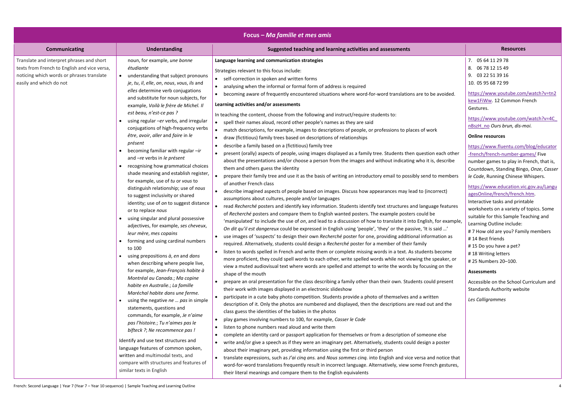| Focus – Ma famille et mes amis                                                                                                                                    |                                                                                                                                                                                                                                                                                  |                                                                                                                                                                                                                                                                                                                                                                                                                                                                                                                                                                        |                                                                                                                                                                                                                             |
|-------------------------------------------------------------------------------------------------------------------------------------------------------------------|----------------------------------------------------------------------------------------------------------------------------------------------------------------------------------------------------------------------------------------------------------------------------------|------------------------------------------------------------------------------------------------------------------------------------------------------------------------------------------------------------------------------------------------------------------------------------------------------------------------------------------------------------------------------------------------------------------------------------------------------------------------------------------------------------------------------------------------------------------------|-----------------------------------------------------------------------------------------------------------------------------------------------------------------------------------------------------------------------------|
| <b>Communicating</b>                                                                                                                                              | <b>Understanding</b>                                                                                                                                                                                                                                                             | Suggested teaching and learning activities and assessments                                                                                                                                                                                                                                                                                                                                                                                                                                                                                                             | <b>Resources</b>                                                                                                                                                                                                            |
| Translate and interpret phrases and short<br>texts from French to English and vice versa,<br>noticing which words or phrases translate<br>easily and which do not | noun, for example, une bonne<br>étudiante<br>understanding that subject pronouns<br>je, tu, il, elle, on, nous, vous, ils and<br>elles determine verb conjugations<br>and substitute for noun subjects, for<br>example, Voilà le frère de Michel. Il<br>est beau, n'est-ce pas ? | Language learning and communication strategies<br>Strategies relevant to this focus include:<br>self-correction in spoken and written forms<br>$\bullet$<br>analysing when the informal or formal form of address is required<br>becoming aware of frequently encountered situations where word-for-word translations are to be avoided.<br>Learning activities and/or assessments                                                                                                                                                                                     | 7. 05 64 11 29 78<br>8. 06 78 12 15 49<br>9. 03 22 51 39 16<br>10. 05 95 68 72 99<br>https://www.youtube.com/watch?v=tn2<br>kew1FiWw. 12 Common French<br>Gestures.                                                         |
|                                                                                                                                                                   | using regular -er verbs, and irregular<br>conjugations of high-frequency verbs<br>être, avoir, aller and faire in le<br>présent                                                                                                                                                  | In teaching the content, choose from the following and instruct/require students to:<br>spell their names aloud, record other people's names as they are said<br>$\bullet$<br>match descriptions, for example, images to descriptions of people, or professions to places of work<br>draw (fictitious) family trees based on descriptions of relationships<br>describe a family based on a (fictitious) family tree<br>$\bullet$                                                                                                                                       | https://www.youtube.com/watch?v=4C<br>nBszH no Ours brun, dis-moi.<br><b>Online resources</b><br>https://www.fluentu.com/blog/educator                                                                                      |
|                                                                                                                                                                   | becoming familiar with regular $-ir$<br>and -re verbs in le présent<br>recognising how grammatical choices<br>shade meaning and establish register,<br>for example, use of tu or vous to                                                                                         | present (orally) aspects of people, using images displayed as a family tree. Students then question each other<br>about the presentations and/or choose a person from the images and without indicating who it is, describe<br>them and others guess the identity<br>prepare their family tree and use it as the basis of writing an introductory email to possibly send to members                                                                                                                                                                                    | -french/french-number-games/ Five<br>number games to play in French, that is,<br>Countdown, Standing Bingo, Onze, Casser<br>le Code, Running Chinese Whispers.                                                              |
|                                                                                                                                                                   | distinguish relationship; use of nous<br>to suggest inclusivity or shared<br>identity; use of on to suggest distance<br>or to replace nous<br>using singular and plural possessive<br>adjectives, for example, ses cheveux,                                                      | of another French class<br>describe imagined aspects of people based on images. Discuss how appearances may lead to (incorrect)<br>assumptions about cultures, people and/or languages<br>read Recherché posters and identify key information. Students identify text structures and language features<br>of Recherché posters and compare them to English wanted posters. The example posters could be<br>'manipulated' to include the use of on, and lead to a discussion of how to translate it into English, for example,                                          | https://www.education.vic.gov.au/Langu<br>agesOnline/french/french.htm.<br>Interactive tasks and printable<br>worksheets on a variety of topics. Some<br>suitable for this Sample Teaching and<br>Learning Outline include: |
|                                                                                                                                                                   | leur mère, mes copains<br>forming and using cardinal numbers<br>to 100<br>using prepositions à, en and dans                                                                                                                                                                      | On dit qu'il est dangereux could be expressed in English using 'people', 'they' or the passive, 'It is said '<br>use images of 'suspects' to design their own Recherché poster for one, providing additional information as<br>required. Alternatively, students could design a Recherché poster for a member of their family<br>listen to words spelled in French and write them or complete missing words in a text. As students become<br>$\bullet$<br>more proficient, they could spell words to each other, write spelled words while not viewing the speaker, or | #7 How old are you? Family members<br>#14 Best friends<br>#15 Do you have a pet?<br>#18 Writing letters<br># 25 Numbers 20-100.                                                                                             |
|                                                                                                                                                                   | when describing where people live,<br>for example, Jean-François habite à<br>Montréal au Canada.; Ma copine<br>habite en Australie.; La famille<br>Maréchal habite dans une ferme.<br>using the negative ne  pas in simple                                                       | view a muted audiovisual text where words are spelled and attempt to write the words by focusing on the<br>shape of the mouth<br>prepare an oral presentation for the class describing a family other than their own. Students could present<br>their work with images displayed in an electronic slideshow<br>participate in a cute baby photo competition. Students provide a photo of themselves and a written                                                                                                                                                      | <b>Assessments</b><br>Accessible on the School Curriculum and<br><b>Standards Authority website</b><br>Les Calligrammes                                                                                                     |
|                                                                                                                                                                   | statements, questions and<br>commands, for example, Je n'aime<br>pas l'histoire.; Tu n'aimes pas le<br>bifteck ?; Ne recommence pas !                                                                                                                                            | description of it. Only the photos are numbered and displayed, then the descriptions are read out and the<br>class guess the identities of the babies in the photos<br>play games involving numbers to 100, for example, Casser le Code<br>listen to phone numbers read aloud and write them<br>complete an identity card or passport application for themselves or from a description of someone else<br>$\bullet$                                                                                                                                                    |                                                                                                                                                                                                                             |
|                                                                                                                                                                   | Identify and use text structures and<br>language features of common spoken,<br>written and multimodal texts, and<br>compare with structures and features of<br>similar texts in English                                                                                          | write and/or give a speech as if they were an imaginary pet. Alternatively, students could design a poster<br>about their imaginary pet, providing information using the first or third person<br>translate expressions, such as J'ai cinq ans. and Nous sommes cinq. into English and vice versa and notice that<br>word-for-word translations frequently result in incorrect language. Alternatively, view some French gestures,<br>their literal meanings and compare them to the English equivalents                                                               |                                                                                                                                                                                                                             |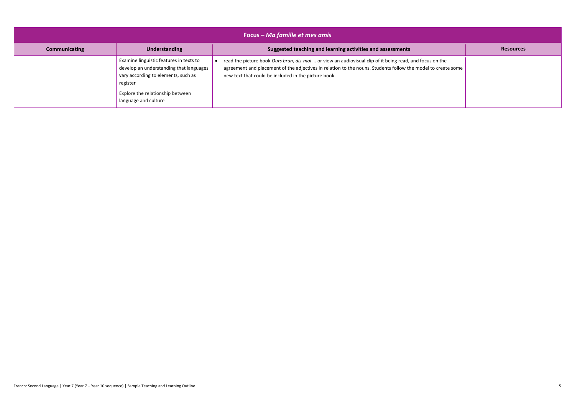| Focus – Ma famille et mes amis |                                                                                                                                                                                                   |                                                                                                                                                                                                                                                                                  |                  |
|--------------------------------|---------------------------------------------------------------------------------------------------------------------------------------------------------------------------------------------------|----------------------------------------------------------------------------------------------------------------------------------------------------------------------------------------------------------------------------------------------------------------------------------|------------------|
| <b>Communicating</b>           | Understanding                                                                                                                                                                                     | Suggested teaching and learning activities and assessments                                                                                                                                                                                                                       | <b>Resources</b> |
|                                | Examine linguistic features in texts to<br>develop an understanding that languages<br>vary according to elements, such as<br>register<br>Explore the relationship between<br>language and culture | read the picture book Ours brun, dis-moi  or view an audiovisual clip of it being read, and focus on the<br>agreement and placement of the adjectives in relation to the nouns. Students follow the model to create some<br>new text that could be included in the picture book. |                  |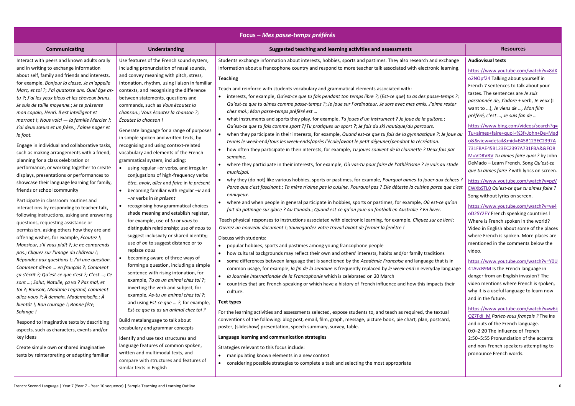| Focus – Mes passe-temps préférés                                                                                                                                                                                                                                                                                                                                                                                                                                                                                                                                                                                                        |                                                                                                                                                                                                                                                                                                                                                                                                                                                                                                                                                              |                                                                                                                                                                                                                                                                                                                                                                                                                                                                                                                                                                                                                                                                                                                                                                                                                                                                                                                                                                                                                                                                                                                                                                             |                                                                                                                                                                                                                                                                                                                                                                     |
|-----------------------------------------------------------------------------------------------------------------------------------------------------------------------------------------------------------------------------------------------------------------------------------------------------------------------------------------------------------------------------------------------------------------------------------------------------------------------------------------------------------------------------------------------------------------------------------------------------------------------------------------|--------------------------------------------------------------------------------------------------------------------------------------------------------------------------------------------------------------------------------------------------------------------------------------------------------------------------------------------------------------------------------------------------------------------------------------------------------------------------------------------------------------------------------------------------------------|-----------------------------------------------------------------------------------------------------------------------------------------------------------------------------------------------------------------------------------------------------------------------------------------------------------------------------------------------------------------------------------------------------------------------------------------------------------------------------------------------------------------------------------------------------------------------------------------------------------------------------------------------------------------------------------------------------------------------------------------------------------------------------------------------------------------------------------------------------------------------------------------------------------------------------------------------------------------------------------------------------------------------------------------------------------------------------------------------------------------------------------------------------------------------------|---------------------------------------------------------------------------------------------------------------------------------------------------------------------------------------------------------------------------------------------------------------------------------------------------------------------------------------------------------------------|
| <b>Communicating</b>                                                                                                                                                                                                                                                                                                                                                                                                                                                                                                                                                                                                                    | <b>Understanding</b>                                                                                                                                                                                                                                                                                                                                                                                                                                                                                                                                         | Suggested teaching and learning activities and assessments                                                                                                                                                                                                                                                                                                                                                                                                                                                                                                                                                                                                                                                                                                                                                                                                                                                                                                                                                                                                                                                                                                                  | <b>Resources</b>                                                                                                                                                                                                                                                                                                                                                    |
| Interact with peers and known adults orally<br>and in writing to exchange information<br>about self, family and friends and interests,<br>for example, Bonjour la classe. Je m'appelle<br>Marc, et toi ?; J'ai quatorze ans. Quel âge as-<br>tu ?; J'ai les yeux bleus et les cheveux bruns.<br>Je suis de taille moyenne .; Je te présente<br>mon copain, Henri. Il est intelligent et<br>marrant !; Nous voici - la famille Mercier !;<br>J'ai deux sœurs et un frère.; J'aime nager et<br>le foot.<br>Engage in individual and collaborative tasks,                                                                                  | Use features of the French sound system,<br>including pronunciation of nasal sounds,<br>and convey meaning with pitch, stress,<br>intonation, rhythm, using liaison in familiar<br>contexts, and recognising the difference<br>between statements, questions and<br>commands, such as Vous écoutez la<br>chanson.; Vous écoutez la chanson ?;<br>Écoutez la chanson !<br>Generate language for a range of purposes<br>in simple spoken and written texts, by<br>recognising and using context-related                                                        | Students exchange information about interests, hobbies, sports and pastimes. They also research and exchange<br>information about a francophone country and respond to more teacher talk associated with electronic learning.<br><b>Teaching</b><br>Teach and reinforce with students vocabulary and grammatical elements associated with:<br>• interests, for example, Qu'est-ce que tu fais pendant ton temps libre ?; (Est-ce que) tu as des passe-temps ?;<br>Qu'est-ce que tu aimes comme passe-temps ?; Je joue sur l'ordinateur. Je sors avec mes amis. J'aime rester<br>chez moi.; Mon passe-temps préféré est<br>what instruments and sports they play, for example, Tu joues d'un instrument ? Je joue de la guitare.;<br>Qu'est-ce que tu fais comme sport ?/Tu pratiques un sport ?; Je fais du ski nautique/du parcours.<br>• when they participate in their interests, for example, Quand est-ce que tu fais de la gymnastique ?; Je joue au<br>tennis le week-end/tous les week-ends/après l'école/avant le petit déjeuner/pendant la récréation.                                                                                                            | <b>Audiovisual texts</b><br>https://www.youtube.com<br>o2NOpf24 Talking about y<br>French 7 sentences to talk<br>tastes. The sentences are J<br>passionnée de, J'adore + v<br>want to ), Je viens de , I<br>préféré, c'est , Je suis fan<br>https://www.bing.com/vic<br>Tu+aimes+faire+quoi+%3f<br>o&&view=detail∣=E45<br>731FBAE45B123EC2397A7                     |
| such as making arrangements with a friend,<br>planning for a class celebration or<br>performance, or working together to create<br>displays, presentations or performances to<br>showcase their language learning for family,<br>friends or school community<br>Participate in classroom routines and<br>interactions by responding to teacher talk,<br>following instructions, asking and answering<br>questions, requesting assistance or<br>permission, asking others how they are and<br>offering wishes, for example, <i>Écoutez !;</i><br>Monsieur, s'il vous plaît ?; Je ne comprends<br>pas.; Cliquez sur l'image du château !; | vocabulary and elements of the French<br>grammatical system, including:<br>using regular -er verbs, and irregular<br>conjugations of high-frequency verbs<br>être, avoir, aller and faire in le présent<br>becoming familiar with regular -ir and<br>$\bullet$<br>-re verbs in le présent<br>recognising how grammatical choices<br>shade meaning and establish register,<br>for example, use of tu or vous to<br>distinguish relationship; use of nous to<br>suggest inclusivity or shared identity;<br>use of on to suggest distance or to<br>replace nous | how often they participate in their interests, for example, Tu joues souvent de la clarinette ? Deux fois par<br>semaine.<br>• where they participate in their interests, for example, Où vas-tu pour faire de l'athlétisme ? Je vais au stade<br>municipal.<br>• why they (do not) like various hobbies, sports or pastimes, for example, Pourquoi aimes-tu jouer aux échecs?<br>Parce que c'est fascinant.; Ta mère n'aime pas la cuisine. Pourquoi pas ? Elle déteste la cuisine parce que c'est<br>ennuyeux.<br>where and when people in general participate in hobbies, sports or pastimes, for example, Où est-ce qu'on<br>fait du patinage sur glace ? Au Canada.; Quand est-ce qu'on joue au football en Australie ? En hiver.<br>Teach physical responses to instructions associated with electronic learning, for example, Cliquez sur ce lien!;<br>Ouvrez un nouveau document !; Sauvegardez votre travail avant de fermer la fenêtre !<br>Discuss with students:<br>popular hobbies, sports and pastimes among young francophone people<br>$\bullet$<br>• how cultural backgrounds may reflect their own and others' interests, habits and/or family traditions | M=VDRVRV Tu aimes faire<br>DeMado - Learn French. S<br>que tu aimes faire ? with h<br>https://www.youtube.com<br>EWXbSTLO Qu'est-ce que t<br>Song without lyrics on scre<br>https://www.youtube.com<br><b>oD2SY2EY</b> French speaking<br>Where is French spoken in<br>Video in English about son<br>where French is spoken. M<br>mentioned in the commen<br>video. |
| Répondez aux questions !; J'ai une question.<br>Comment dit-on  en français ?; Comment<br>ça s'écrit ?; Qu'est-ce que c'est ?; C'est ; Ce<br>sont ; Salut, Natalie, ça va ? Pas mal, et<br>toi ?; Bonsoir, Madame Legrand, comment<br>allez-vous ?; À demain, Mademoiselle.; À<br>bientôt !; Bon courage !; Bonne fête,                                                                                                                                                                                                                                                                                                                 | becoming aware of three ways of<br>forming a question, including a simple<br>sentence with rising intonation, for<br>example, Tu as un animal chez toi ?;<br>inverting the verb and subject, for<br>example, As-tu un animal chez toi ?;<br>and using <i>Est-ce que ?</i> , for example,<br>Est-ce que tu as un animal chez toi ?                                                                                                                                                                                                                            | • some differences between language that is sanctioned by the Académie Francaise and language that is in<br>common usage, for example, la fin de la semaine is frequently replaced by le week-end in everyday language<br>· la Journée Internationale de la Francophonie which is celebrated on 20 March<br>countries that are French-speaking or which have a history of French influence and how this impacts their<br>culture.<br><b>Text types</b>                                                                                                                                                                                                                                                                                                                                                                                                                                                                                                                                                                                                                                                                                                                      | https://www.youtube.com<br>4TAvcB9M Is the French la<br>danger from an English inv<br>video mentions where Fre<br>why it is a useful language<br>and in the future.<br>https://www.youtube.com                                                                                                                                                                      |
| Solange!<br>Respond to imaginative texts by describing<br>aspects, such as characters, events and/or<br>key ideas<br>Create simple own or shared imaginative<br>texts by reinterpreting or adapting familiar                                                                                                                                                                                                                                                                                                                                                                                                                            | Build metalanguage to talk about<br>vocabulary and grammar concepts<br>Identify and use text structures and<br>language features of common spoken,<br>written and multimodal texts, and<br>compare with structures and features of                                                                                                                                                                                                                                                                                                                           | For the learning activities and assessments selected, expose students to, and teach as required, the textual<br>conventions of the following: blog post, email, film, graph, message, picture book, pie chart, plan, postcard,<br>poster, (slideshow) presentation, speech summary, survey, table.<br>Language learning and communication strategies<br>Strategies relevant to this focus include:<br>• manipulating known elements in a new context                                                                                                                                                                                                                                                                                                                                                                                                                                                                                                                                                                                                                                                                                                                        | OZ7Fdi M Parlez-vous frai<br>and outs of the French lan<br>0:0-2:20 The influence of<br>2:50-5:55 Pronunciation o<br>and non-French speakers a<br>pronounce French words.                                                                                                                                                                                           |
|                                                                                                                                                                                                                                                                                                                                                                                                                                                                                                                                                                                                                                         | similar texts in English                                                                                                                                                                                                                                                                                                                                                                                                                                                                                                                                     | • considering possible strategies to complete a task and selecting the most appropriate                                                                                                                                                                                                                                                                                                                                                                                                                                                                                                                                                                                                                                                                                                                                                                                                                                                                                                                                                                                                                                                                                     |                                                                                                                                                                                                                                                                                                                                                                     |

# **Audiovisual texts**

[https://www.youtube.com/watch?v=8dX](https://www.youtube.com/watch?v=8dXo2NOpf24) [o2NOpf24](https://www.youtube.com/watch?v=8dXo2NOpf24) Talking about yourself in French 7 sentences to talk about your tastes. The sentences are *Je suis passionnée de, J'adore +* verb, *Je veux* (I want to …), *Je viens de* …*, Mon film préféré, c'est …*, *Je suis fan de …*

[https://www.bing.com/videos/search?q=](https://www.bing.com/videos/search?q=Tu+aimes+faire+quoi+%3f+John+De+Mado&&view=detail&mid=E45B123EC2397A731FBAE45B123EC2397A731FBA&&FORM=VDRVRV) [Tu+aimes+faire+quoi+%3f+John+De+Mad](https://www.bing.com/videos/search?q=Tu+aimes+faire+quoi+%3f+John+De+Mado&&view=detail&mid=E45B123EC2397A731FBAE45B123EC2397A731FBA&&FORM=VDRVRV) [o&&view=detail&mid=E45B123EC2397A](https://www.bing.com/videos/search?q=Tu+aimes+faire+quoi+%3f+John+De+Mado&&view=detail&mid=E45B123EC2397A731FBAE45B123EC2397A731FBA&&FORM=VDRVRV) [731FBAE45B123EC2397A731FBA&&FOR](https://www.bing.com/videos/search?q=Tu+aimes+faire+quoi+%3f+John+De+Mado&&view=detail&mid=E45B123EC2397A731FBAE45B123EC2397A731FBA&&FORM=VDRVRV) [M=VDRVRV](https://www.bing.com/videos/search?q=Tu+aimes+faire+quoi+%3f+John+De+Mado&&view=detail&mid=E45B123EC2397A731FBAE45B123EC2397A731FBA&&FORM=VDRVRV) *Tu aimes faire quoi ?* by John DeMado – Learn French. Song *Qu'est-ce que tu aimes faire ?* with lyrics on screen.

[https://www.youtube.com/watch?v=pzV](https://www.youtube.com/watch?v=pzVEWXbSTL0) [EWXbSTL0](https://www.youtube.com/watch?v=pzVEWXbSTL0) *Qu'est-ce que tu aimes faire ?* Song without lyrics on screen.

[https://www.youtube.com/watch?v=ve4](https://www.youtube.com/watch?v=ve4oD2SY2EY) [oD2SY2EY](https://www.youtube.com/watch?v=ve4oD2SY2EY) French speaking countries l Where is French spoken in the world? Video in English about some of the places where French is spoken. More places are mentioned in the comments below the video.

[https://www.youtube.com/watch?v=Y0U](https://www.youtube.com/watch?v=Y0U4TAvcB9M) [4TAvcB9M](https://www.youtube.com/watch?v=Y0U4TAvcB9M) Is the French language in danger from an English invasion? The video mentions where French is spoken, why it is a useful language to learn now and in the future.

[https://www.youtube.com/watch?v=w6k](https://www.youtube.com/watch?v=w6kOZ7Fdi_M) [OZ7Fdi\\_M](https://www.youtube.com/watch?v=w6kOZ7Fdi_M) *Parlez-vous français ?* The ins and outs of the French language. 0:0–2:20 The influence of French 2:50–5:55 Pronunciation of the accents and non-French speakers attempting to pronounce French words.